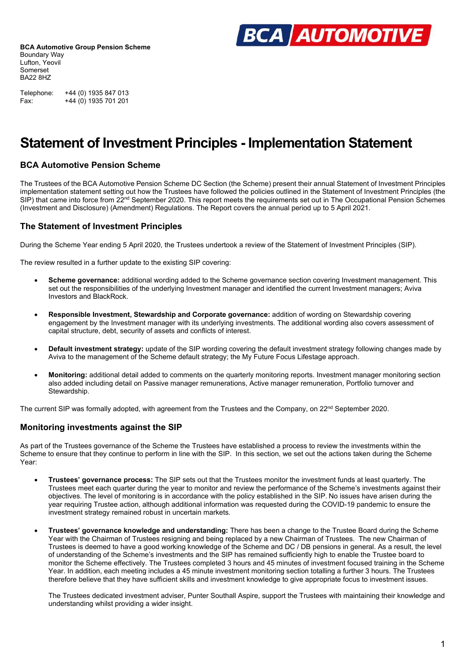

Telephone: +44 (0) 1935 847 013 Fax: +44 (0) 1935 701 201

# **Statement of Investment Principles - Implementation Statement**

#### **BCA Automotive Pension Scheme**

The Trustees of the BCA Automotive Pension Scheme DC Section (the Scheme) present their annual Statement of Investment Principles implementation statement setting out how the Trustees have followed the policies outlined in the Statement of Investment Principles (the SIP) that came into force from 22<sup>nd</sup> September 2020. This report meets the requirements set out in The Occupational Pension Schemes (Investment and Disclosure) (Amendment) Regulations. The Report covers the annual period up to 5 April 2021.

#### **The Statement of Investment Principles**

During the Scheme Year ending 5 April 2020, the Trustees undertook a review of the Statement of Investment Principles (SIP).

The review resulted in a further update to the existing SIP covering:

- **Scheme governance:** additional wording added to the Scheme governance section covering Investment management. This set out the responsibilities of the underlying Investment manager and identified the current Investment managers; Aviva Investors and BlackRock.
- **Responsible Investment, Stewardship and Corporate governance:** addition of wording on Stewardship covering engagement by the Investment manager with its underlying investments. The additional wording also covers assessment of capital structure, debt, security of assets and conflicts of interest.
- **Default investment strategy:** update of the SIP wording covering the default investment strategy following changes made by Aviva to the management of the Scheme default strategy; the My Future Focus Lifestage approach.
- **Monitoring:** additional detail added to comments on the quarterly monitoring reports. Investment manager monitoring section also added including detail on Passive manager remunerations, Active manager remuneration, Portfolio turnover and Stewardship.

The current SIP was formally adopted, with agreement from the Trustees and the Company, on 22<sup>nd</sup> September 2020.

#### **Monitoring investments against the SIP**

As part of the Trustees governance of the Scheme the Trustees have established a process to review the investments within the Scheme to ensure that they continue to perform in line with the SIP. In this section, we set out the actions taken during the Scheme Year:

- **Trustees' governance process:** The SIP sets out that the Trustees monitor the investment funds at least quarterly. The Trustees meet each quarter during the year to monitor and review the performance of the Scheme's investments against their objectives. The level of monitoring is in accordance with the policy established in the SIP. No issues have arisen during the year requiring Trustee action, although additional information was requested during the COVID-19 pandemic to ensure the investment strategy remained robust in uncertain markets.
- **Trustees' governance knowledge and understanding:** There has been a change to the Trustee Board during the Scheme Year with the Chairman of Trustees resigning and being replaced by a new Chairman of Trustees. The new Chairman of Trustees is deemed to have a good working knowledge of the Scheme and DC / DB pensions in general. As a result, the level of understanding of the Scheme's investments and the SIP has remained sufficiently high to enable the Trustee board to monitor the Scheme effectively. The Trustees completed 3 hours and 45 minutes of investment focused training in the Scheme Year. In addition, each meeting includes a 45 minute investment monitoring section totalling a further 3 hours. The Trustees therefore believe that they have sufficient skills and investment knowledge to give appropriate focus to investment issues.

The Trustees dedicated investment adviser, Punter Southall Aspire, support the Trustees with maintaining their knowledge and understanding whilst providing a wider insight.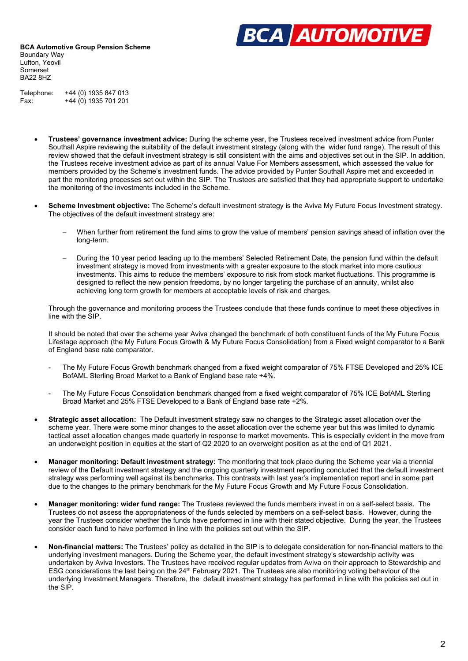

Telephone: +44 (0) 1935 847 013 Fax: +44 (0) 1935 701 201

- **Trustees' governance investment advice:** During the scheme year, the Trustees received investment advice from Punter Southall Aspire reviewing the suitability of the default investment strategy (along with the wider fund range). The result of this review showed that the default investment strategy is still consistent with the aims and objectives set out in the SIP. In addition, the Trustees receive investment advice as part of its annual Value For Members assessment, which assessed the value for members provided by the Scheme's investment funds. The advice provided by Punter Southall Aspire met and exceeded in part the monitoring processes set out within the SIP. The Trustees are satisfied that they had appropriate support to undertake the monitoring of the investments included in the Scheme.
- **Scheme Investment objective:** The Scheme's default investment strategy is the Aviva My Future Focus Investment strategy. The objectives of the default investment strategy are:
	- When further from retirement the fund aims to grow the value of members' pension savings ahead of inflation over the long-term.
	- During the 10 year period leading up to the members' Selected Retirement Date, the pension fund within the default investment strategy is moved from investments with a greater exposure to the stock market into more cautious investments. This aims to reduce the members' exposure to risk from stock market fluctuations. This programme is designed to reflect the new pension freedoms, by no longer targeting the purchase of an annuity, whilst also achieving long term growth for members at acceptable levels of risk and charges.

Through the governance and monitoring process the Trustees conclude that these funds continue to meet these objectives in line with the SIP.

It should be noted that over the scheme year Aviva changed the benchmark of both constituent funds of the My Future Focus Lifestage approach (the My Future Focus Growth & My Future Focus Consolidation) from a Fixed weight comparator to a Bank of England base rate comparator.

- The My Future Focus Growth benchmark changed from a fixed weight comparator of 75% FTSE Developed and 25% ICE BofAML Sterling Broad Market to a Bank of England base rate +4%.
- The My Future Focus Consolidation benchmark changed from a fixed weight comparator of 75% ICE BofAML Sterling Broad Market and 25% FTSE Developed to a Bank of England base rate +2%.
- **Strategic asset allocation:** The Default investment strategy saw no changes to the Strategic asset allocation over the scheme year. There were some minor changes to the asset allocation over the scheme year but this was limited to dynamic tactical asset allocation changes made quarterly in response to market movements. This is especially evident in the move from an underweight position in equities at the start of Q2 2020 to an overweight position as at the end of Q1 2021.
- **Manager monitoring: Default investment strategy:** The monitoring that took place during the Scheme year via a triennial review of the Default investment strategy and the ongoing quarterly investment reporting concluded that the default investment strategy was performing well against its benchmarks. This contrasts with last year's implementation report and in some part due to the changes to the primary benchmark for the My Future Focus Growth and My Future Focus Consolidation.
- **Manager monitoring: wider fund range:** The Trustees reviewed the funds members invest in on a self-select basis. The Trustees do not assess the appropriateness of the funds selected by members on a self-select basis. However, during the year the Trustees consider whether the funds have performed in line with their stated objective. During the year, the Trustees consider each fund to have performed in line with the policies set out within the SIP.
- **Non-financial matters:** The Trustees' policy as detailed in the SIP is to delegate consideration for non-financial matters to the underlying investment managers. During the Scheme year, the default investment strategy's stewardship activity was undertaken by Aviva Investors. The Trustees have received regular updates from Aviva on their approach to Stewardship and ESG considerations the last being on the 24<sup>th</sup> February 2021. The Trustees are also monitoring voting behaviour of the underlying Investment Managers. Therefore, the default investment strategy has performed in line with the policies set out in the SIP.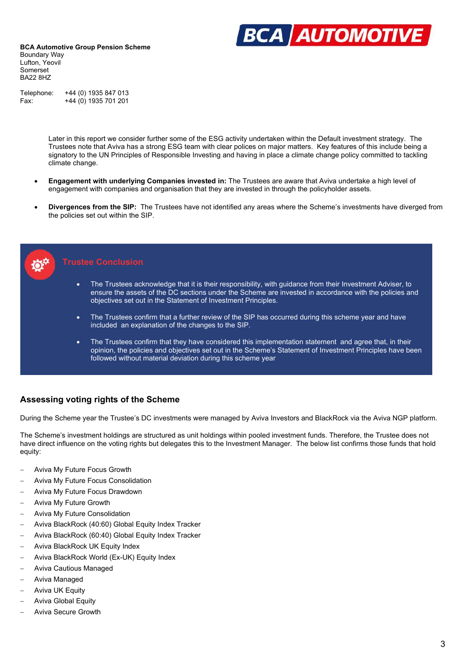

Telephone: +44 (0) 1935 847 013 Fax: +44 (0) 1935 701 201

> Later in this report we consider further some of the ESG activity undertaken within the Default investment strategy. The Trustees note that Aviva has a strong ESG team with clear polices on major matters. Key features of this include being a signatory to the UN Principles of Responsible Investing and having in place a climate change policy committed to tackling climate change.

- **Engagement with underlying Companies invested in:** The Trustees are aware that Aviva undertake a high level of engagement with companies and organisation that they are invested in through the policyholder assets.
- **Divergences from the SIP:** The Trustees have not identified any areas where the Scheme's investments have diverged from the policies set out within the SIP.



#### **Trustee Conclusion**

- The Trustees acknowledge that it is their responsibility, with guidance from their Investment Adviser, to ensure the assets of the DC sections under the Scheme are invested in accordance with the policies and objectives set out in the Statement of Investment Principles.
- The Trustees confirm that a further review of the SIP has occurred during this scheme year and have included an explanation of the changes to the SIP.
- The Trustees confirm that they have considered this implementation statement and agree that, in their opinion, the policies and objectives set out in the Scheme's Statement of Investment Principles have been followed without material deviation during this scheme year

#### **Assessing voting rights of the Scheme**

During the Scheme year the Trustee's DC investments were managed by Aviva Investors and BlackRock via the Aviva NGP platform.

The Scheme's investment holdings are structured as unit holdings within pooled investment funds. Therefore, the Trustee does not have direct influence on the voting rights but delegates this to the Investment Manager. The below list confirms those funds that hold equity:

- Aviva My Future Focus Growth
- Aviva My Future Focus Consolidation
- Aviva My Future Focus Drawdown
- Aviva My Future Growth
- Aviva My Future Consolidation
- Aviva BlackRock (40:60) Global Equity Index Tracker
- Aviva BlackRock (60:40) Global Equity Index Tracker
- Aviva BlackRock UK Equity Index
- Aviva BlackRock World (Ex-UK) Equity Index
- Aviva Cautious Managed
- Aviva Managed
- Aviva UK Equity
- Aviva Global Equity
- Aviva Secure Growth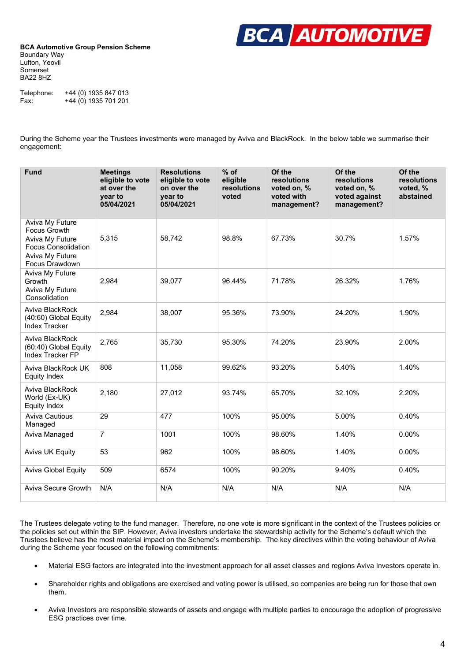

Telephone: +44 (0) 1935 847 013 Fax:  $+44(0)$  1935 701 201

During the Scheme year the Trustees investments were managed by Aviva and BlackRock. In the below table we summarise their engagement:

| <b>Fund</b>                                                                                                                  | <b>Meetings</b><br>eligible to vote<br>at over the<br>year to<br>05/04/2021 | <b>Resolutions</b><br>eligible to vote<br>on over the<br>year to<br>05/04/2021 | $%$ of<br>eligible<br>resolutions<br>voted | Of the<br>resolutions<br>voted on, %<br>voted with<br>management? | Of the<br>resolutions<br>voted on, %<br>voted against<br>management? | Of the<br>resolutions<br>voted, %<br>abstained |
|------------------------------------------------------------------------------------------------------------------------------|-----------------------------------------------------------------------------|--------------------------------------------------------------------------------|--------------------------------------------|-------------------------------------------------------------------|----------------------------------------------------------------------|------------------------------------------------|
| Aviva My Future<br><b>Focus Growth</b><br>Aviva My Future<br><b>Focus Consolidation</b><br>Aviva My Future<br>Focus Drawdown | 5,315                                                                       | 58,742                                                                         | 98.8%                                      | 67.73%                                                            | 30.7%                                                                | 1.57%                                          |
| Aviva My Future<br>Growth<br>Aviva My Future<br>Consolidation                                                                | 2,984                                                                       | 39,077                                                                         | 96.44%                                     | 71.78%                                                            | 26.32%                                                               | 1.76%                                          |
| Aviva BlackRock<br>(40:60) Global Equity<br><b>Index Tracker</b>                                                             | 2,984                                                                       | 38,007                                                                         | 95.36%                                     | 73.90%                                                            | 24.20%                                                               | 1.90%                                          |
| Aviva BlackRock<br>(60:40) Global Equity<br>Index Tracker FP                                                                 | 2,765                                                                       | 35,730                                                                         | 95.30%                                     | 74.20%                                                            | 23.90%                                                               | 2.00%                                          |
| Aviva BlackRock UK<br>Equity Index                                                                                           | 808                                                                         | 11,058                                                                         | 99.62%                                     | 93.20%                                                            | 5.40%                                                                | 1.40%                                          |
| Aviva BlackRock<br>World (Ex-UK)<br><b>Equity Index</b>                                                                      | 2,180                                                                       | 27,012                                                                         | 93.74%                                     | 65.70%                                                            | 32.10%                                                               | 2.20%                                          |
| Aviva Cautious<br>Managed                                                                                                    | 29                                                                          | 477                                                                            | 100%                                       | 95.00%                                                            | 5.00%                                                                | 0.40%                                          |
| Aviva Managed                                                                                                                | $\overline{7}$                                                              | 1001                                                                           | 100%                                       | 98.60%                                                            | 1.40%                                                                | 0.00%                                          |
| Aviva UK Equity                                                                                                              | 53                                                                          | 962                                                                            | 100%                                       | 98.60%                                                            | 1.40%                                                                | $0.00\%$                                       |
| <b>Aviva Global Equity</b>                                                                                                   | 509                                                                         | 6574                                                                           | 100%                                       | 90.20%                                                            | 9.40%                                                                | 0.40%                                          |
| <b>Aviva Secure Growth</b>                                                                                                   | N/A                                                                         | N/A                                                                            | N/A                                        | N/A                                                               | N/A                                                                  | N/A                                            |

The Trustees delegate voting to the fund manager. Therefore, no one vote is more significant in the context of the Trustees policies or the policies set out within the SIP. However, Aviva investors undertake the stewardship activity for the Scheme's default which the Trustees believe has the most material impact on the Scheme's membership. The key directives within the voting behaviour of Aviva during the Scheme year focused on the following commitments:

- Material ESG factors are integrated into the investment approach for all asset classes and regions Aviva Investors operate in.
- Shareholder rights and obligations are exercised and voting power is utilised, so companies are being run for those that own them.
- Aviva Investors are responsible stewards of assets and engage with multiple parties to encourage the adoption of progressive ESG practices over time.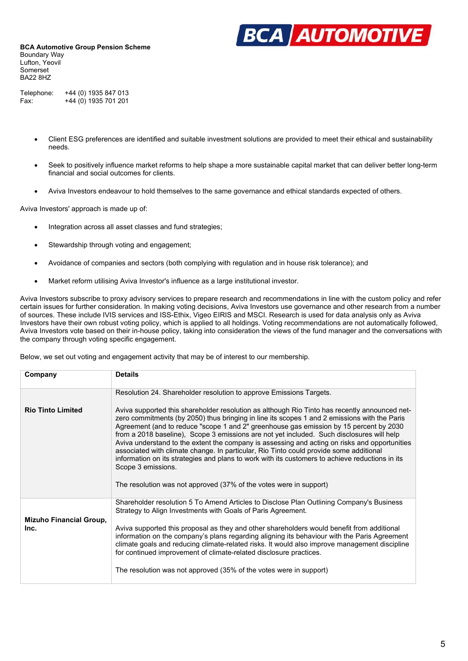

Telephone: +44 (0) 1935 847 013 Fax: +44 (0) 1935 701 201

- Client ESG preferences are identified and suitable investment solutions are provided to meet their ethical and sustainability needs.
- Seek to positively influence market reforms to help shape a more sustainable capital market that can deliver better long-term financial and social outcomes for clients.
- Aviva Investors endeavour to hold themselves to the same governance and ethical standards expected of others.

Aviva Investors' approach is made up of:

- Integration across all asset classes and fund strategies;
- Stewardship through voting and engagement;
- Avoidance of companies and sectors (both complying with regulation and in house risk tolerance); and
- Market reform utilising Aviva Investor's influence as a large institutional investor.

Aviva Investors subscribe to proxy advisory services to prepare research and recommendations in line with the custom policy and refer certain issues for further consideration. In making voting decisions, Aviva Investors use governance and other research from a number of sources. These include IVIS services and ISS-Ethix, Vigeo EIRIS and MSCI. Research is used for data analysis only as Aviva Investors have their own robust voting policy, which is applied to all holdings. Voting recommendations are not automatically followed, Aviva Investors vote based on their in-house policy, taking into consideration the views of the fund manager and the conversations with the company through voting specific engagement.

Below, we set out voting and engagement activity that may be of interest to our membership.

| Company                                | <b>Details</b>                                                                                                                                                                                                                                                                                                                                                                                                                                                                                                                                                                                                                                                                                                                                                                 |
|----------------------------------------|--------------------------------------------------------------------------------------------------------------------------------------------------------------------------------------------------------------------------------------------------------------------------------------------------------------------------------------------------------------------------------------------------------------------------------------------------------------------------------------------------------------------------------------------------------------------------------------------------------------------------------------------------------------------------------------------------------------------------------------------------------------------------------|
|                                        | Resolution 24. Shareholder resolution to approve Emissions Targets.                                                                                                                                                                                                                                                                                                                                                                                                                                                                                                                                                                                                                                                                                                            |
| <b>Rio Tinto Limited</b>               | Aviva supported this shareholder resolution as although Rio Tinto has recently announced net-<br>zero commitments (by 2050) thus bringing in line its scopes 1 and 2 emissions with the Paris<br>Agreement (and to reduce "scope 1 and 2" greenhouse gas emission by 15 percent by 2030<br>from a 2018 baseline), Scope 3 emissions are not yet included. Such disclosures will help<br>Aviva understand to the extent the company is assessing and acting on risks and opportunities<br>associated with climate change. In particular, Rio Tinto could provide some additional<br>information on its strategies and plans to work with its customers to achieve reductions in its<br>Scope 3 emissions.<br>The resolution was not approved (37% of the votes were in support) |
| <b>Mizuho Financial Group,</b><br>Inc. | Shareholder resolution 5 To Amend Articles to Disclose Plan Outlining Company's Business<br>Strategy to Align Investments with Goals of Paris Agreement.<br>Aviva supported this proposal as they and other shareholders would benefit from additional<br>information on the company's plans regarding aligning its behaviour with the Paris Agreement<br>climate goals and reducing climate-related risks. It would also improve management discipline<br>for continued improvement of climate-related disclosure practices.<br>The resolution was not approved (35% of the votes were in support)                                                                                                                                                                            |